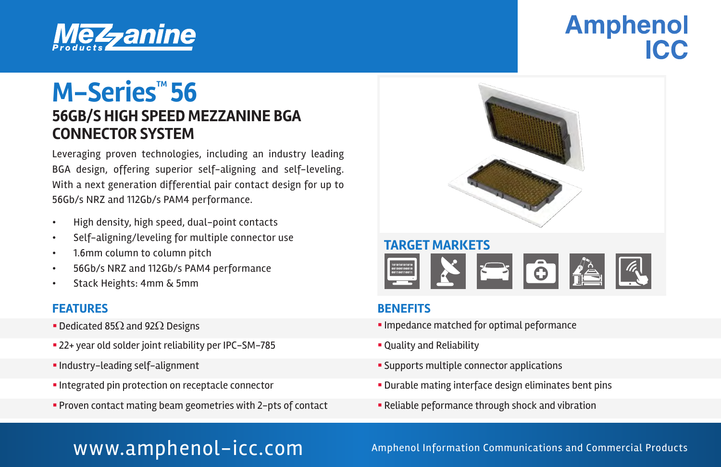

# **Amphenol** ICC

## **56GB/S HIGH SPEED MEZZANINE BGA CONNECTOR SYSTEM M−Series<sup>™</sup>56**

Leveraging proven technologies, including an industry leading BGA design, offering superior self-aligning and self-leveling. With a next generation differential pair contact design for up to 56Gb/s NRZ and 112Gb/s PAM4 performance.

- High density, high speed, dual-point contacts
- Self-aligning/leveling for multiple connector use
- 1.6mm column to column pitch
- 56Gb/s NRZ and 112Gb/s PAM4 performance
- Stack Heights: 4mm & 5mm

#### **FEATURES BENEFITS**

- 
- 22+ year old solder joint reliability per IPC-SM-785  **Cuality and Reliability**
- 
- 
- § Proven contact mating beam geometries with 2-pts of contact § Reliable peformance through shock and vibration



- Dedicated 85Ω and 92Ω Designs **in the state of the state of the state of the state of the state of the state of the state of the state of the state of the state of the state of the state of the state of the state of th** 
	-
- § Industry-leading self-alignment § Supports multiple connector applications
- Integrated pin protection on receptacle connector **integration in Section •** Durable mating interface design eliminates bent pins
	-

WWW.amphenol-icc.com Amphenol Information Communications and Commercial Products